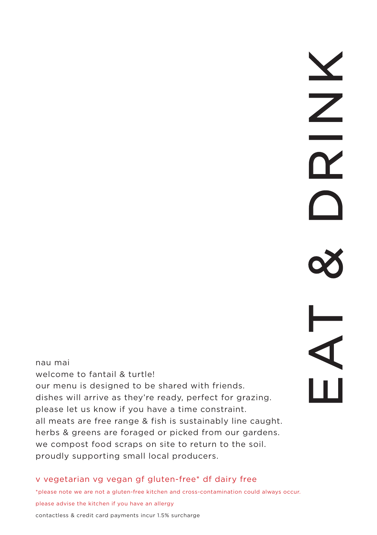# EAT & DRINK

nau mai welcome to fantail & turtle! our menu is designed to be shared with friends. dishes will arrive as they're ready, perfect for grazing. please let us know if you have a time constraint. all meats are free range & fish is sustainably line caught. herbs & greens are foraged or picked from our gardens. we compost food scraps on site to return to the soil. proudly supporting small local producers.

### v vegetarian vg vegan gf gluten-free\* df dairy free

\*please note we are not a gluten-free kitchen and cross-contamination could always occur. please advise the kitchen if you have an allergy

contactless & credit card payments incur 1.5% surcharge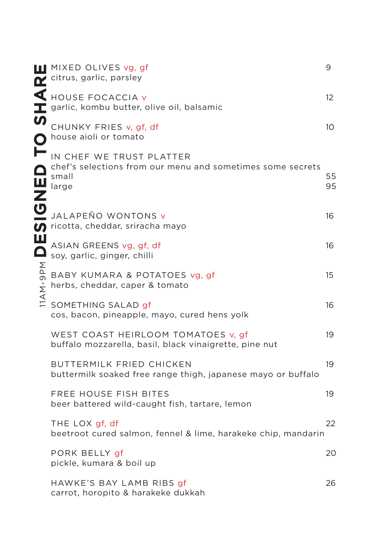|        | <b>III</b> MIXED OLIVES vg, gf<br>citrus, garlic, parsley                                                                        | 9                 |
|--------|----------------------------------------------------------------------------------------------------------------------------------|-------------------|
|        | HOUSE FOCACCIA V<br>garlic, kombu butter, olive oil, balsamic                                                                    | $12 \overline{ }$ |
|        | CHUNKY FRIES v, gf, df<br>house aioli or tomato                                                                                  | 10                |
|        | IN CHEF WE TRUST PLATTER<br>chef's selections from our menu and sometimes some secrets<br><b>O</b> chef's<br>small<br>large<br>Z | 55<br>95          |
| U      | JALAPEÑO WONTONS v<br>$\bullet$ ricotta, cheddar, sriracha mayo                                                                  | 16                |
| Ш      | ASIAN GREENS vg, gf, df<br>soy, garlic, ginger, chilli                                                                           | 16                |
| M-9PM  | BABY KUMARA & POTATOES vg, gf<br>herbs, cheddar, caper & tomato                                                                  | 15                |
| $\leq$ | SOMETHING SALAD gf<br>cos, bacon, pineapple, mayo, cured hens yolk                                                               | 16                |
|        | WEST COAST HEIRLOOM TOMATOES v, gf<br>buffalo mozzarella, basil, black vinaigrette, pine nut                                     | 19                |
|        | BUTTERMILK FRIED CHICKEN<br>buttermilk soaked free range thigh, japanese mayo or buffalo                                         | 19                |
|        | FREE HOUSE FISH BITES<br>beer battered wild-caught fish, tartare, lemon                                                          | 19                |
|        | THE LOX gf, df<br>beetroot cured salmon, fennel & lime, harakeke chip, mandarin                                                  | 22                |
|        | PORK BELLY gf<br>pickle, kumara & boil up                                                                                        | 20                |
|        | HAWKE'S BAY LAMB RIBS gf<br>carrot, horopito & harakeke dukkah                                                                   | 26                |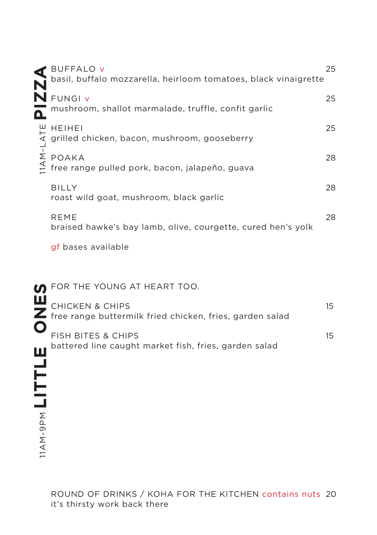|                | <b>BUFFALO v</b><br>basil, buffalo mozzarella, heirloom tomatoes, black vinaigrette      | 25               |
|----------------|------------------------------------------------------------------------------------------|------------------|
| Δ              | N FUNGI V<br>mushroom, shallot marmalade, truffle, confit garlic                         | 25               |
|                | <b>HEIHEI</b><br>grilled chicken, bacon, mushroom, gooseberry                            | 25               |
| $1A$ M-L $ATE$ | POAKA<br>free range pulled pork, bacon, jalapeño, guava                                  | 28               |
|                | <b>BILLY</b><br>roast wild goat, mushroom, black garlic                                  | 28               |
|                | <b>REME</b><br>braised hawke's bay lamb, olive, courgette, cured hen's yolk              | 28               |
|                | gf bases available                                                                       |                  |
|                | FOR THE YOUNG AT HEART TOO.                                                              |                  |
|                | <b>CHICKEN &amp; CHIPS</b><br>free range buttermilk fried chicken, fries, garden salad   | 15 <sup>15</sup> |
|                | <b>FISH BITES &amp; CHIPS</b><br>southermed line caught market fish, fries, garden salad | $15\,$           |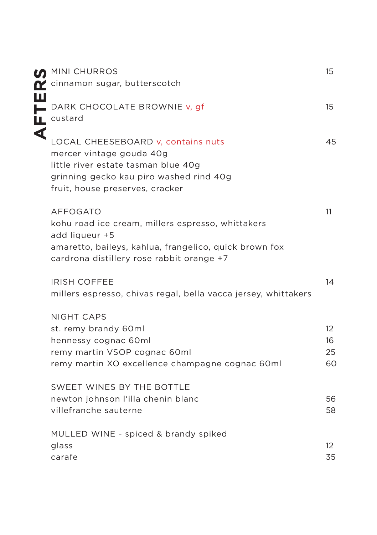|   | <b>MINI CHURROS</b><br>cinnamon sugar, butterscotch                                                                                                                                           | 15                         |
|---|-----------------------------------------------------------------------------------------------------------------------------------------------------------------------------------------------|----------------------------|
| Ш | DARK CHOCOLATE BROWNIE v, gf<br>L custard                                                                                                                                                     | 15                         |
| ⋖ | LOCAL CHEESEBOARD v, contains nuts<br>mercer vintage gouda 40g<br>little river estate tasman blue 40g<br>grinning gecko kau piro washed rind 40g<br>fruit, house preserves, cracker           | 45                         |
|   | <b>AFFOGATO</b><br>kohu road ice cream, millers espresso, whittakers<br>add liqueur +5<br>amaretto, baileys, kahlua, frangelico, quick brown fox<br>cardrona distillery rose rabbit orange +7 | 11                         |
|   | <b>IRISH COFFEE</b><br>millers espresso, chivas regal, bella vacca jersey, whittakers                                                                                                         | 14                         |
|   | <b>NIGHT CAPS</b><br>st. remy brandy 60ml<br>hennessy cognac 60ml<br>remy martin VSOP cognac 60ml<br>remy martin XO excellence champagne cognac 60ml                                          | $12^{1}$<br>16<br>25<br>60 |
|   | SWEET WINES BY THE BOTTLE<br>newton johnson l'illa chenin blanc<br>villefranche sauterne                                                                                                      | 56<br>58                   |
|   | MULLED WINE - spiced & brandy spiked<br>glass<br>carafe                                                                                                                                       | $12 \overline{ }$<br>35    |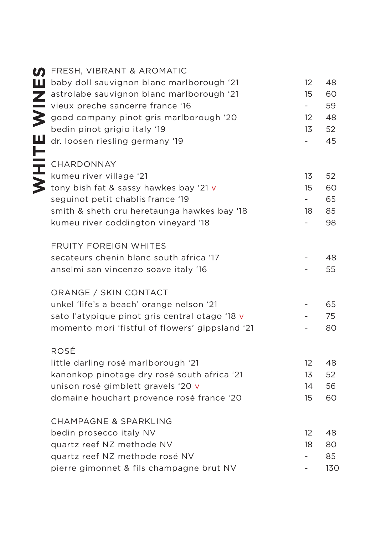|           | <b>D</b> FRESH, VIBRANT & AROMATIC              |                          | 48  |
|-----------|-------------------------------------------------|--------------------------|-----|
|           | baby doll sauvignon blanc marlborough '21       | 12<br>15                 |     |
|           | astrolabe sauvignon blanc marlborough '21       |                          | 60  |
|           | vieux preche sancerre france '16                | $\sim$                   | 59  |
|           | good company pinot gris marlborough '20         | $12 \overline{ }$        | 48  |
|           | bedin pinot grigio italy '19                    | 13                       | 52  |
|           | dr. loosen riesling germany '19                 |                          | 45  |
| HITE<br>F |                                                 |                          |     |
|           | CHARDONNAY                                      |                          |     |
|           | kumeu river village '21                         | 13                       | 52  |
|           | tony bish fat & sassy hawkes bay '21 v          | 15                       | 60  |
|           | seguinot petit chablis france '19               | $\overline{\phantom{0}}$ | 65  |
|           | smith & sheth cru heretaunga hawkes bay '18     | 18                       | 85  |
|           | kumeu river coddington vineyard '18             |                          | 98  |
|           | <b>FRUITY FOREIGN WHITES</b>                    |                          |     |
|           | secateurs chenin blanc south africa '17         |                          | 48  |
|           | anselmi san vincenzo soave italy '16            |                          | 55  |
|           |                                                 |                          |     |
|           | ORANGE / SKIN CONTACT                           |                          |     |
|           | unkel 'life's a beach' orange nelson '21        |                          | 65  |
|           | sato l'atypique pinot gris central otago '18 v  |                          | 75  |
|           | momento mori 'fistful of flowers' gippsland '21 |                          | 80  |
|           |                                                 |                          |     |
|           | ROSÉ                                            |                          |     |
|           | little darling rosé marlborough '21             | 12                       | 48  |
|           | kanonkop pinotage dry rosé south africa '21     | 13                       | 52  |
|           | unison rosé gimblett gravels '20 v              | 14                       | 56  |
|           | domaine houchart provence rosé france '20       | 15                       | 60  |
|           | <b>CHAMPAGNE &amp; SPARKLING</b>                |                          |     |
|           | bedin prosecco italy NV                         | 12                       | 48  |
|           | quartz reef NZ methode NV                       | 18                       | 80  |
|           | quartz reef NZ methode rosé NV                  |                          | 85  |
|           | pierre gimonnet & fils champagne brut NV        |                          | 130 |
|           |                                                 |                          |     |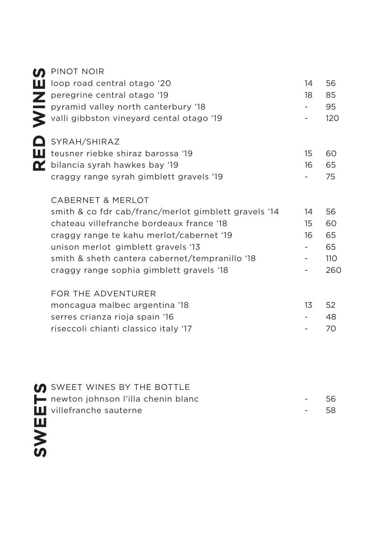| M                       | PINOT NOIR                                           |    |     |
|-------------------------|------------------------------------------------------|----|-----|
| ш                       | loop road central otago '20                          | 14 | 56  |
| $\overline{\mathbf{z}}$ | peregrine central otago '19                          | 18 | 85  |
|                         | pyramid valley north canterbury '18                  |    | 95  |
|                         | valli gibbston vineyard cental otago '19             |    | 120 |
|                         | SYRAH/SHIRAZ                                         |    |     |
| ш                       | teusner riebke shiraz barossa '19                    | 15 | 60  |
| QZ.                     | bilancia syrah hawkes bay '19                        | 16 | 65  |
|                         | craggy range syrah gimblett gravels '19              |    | 75  |
|                         | <b>CABERNET &amp; MERLOT</b>                         |    |     |
|                         | smith & co fdr cab/franc/merlot gimblett gravels '14 | 14 | 56  |
|                         | chateau villefranche bordeaux france '18             | 15 | 60  |
|                         | craggy range te kahu merlot/cabernet '19             | 16 | 65  |
|                         | unison merlot gimblett gravels '13                   |    | 65  |
|                         | smith & sheth cantera cabernet/tempranillo '18       |    | 110 |
|                         | craggy range sophia gimblett gravels '18             |    | 260 |
|                         | FOR THE ADVENTURER                                   |    |     |
|                         | moncagua malbec argentina '18                        | 13 | 52  |
|                         | serres crianza rioja spain '16                       |    | 48  |
|                         | riseccoli chianti classico italy '17                 |    | 70  |
|                         |                                                      |    |     |
|                         |                                                      |    |     |
|                         |                                                      |    |     |

SWEETS

**SWEET WINES BY THE BOTTLE** newton johnson l'illa chenin blanc Villefranche sauterne 56 58 - -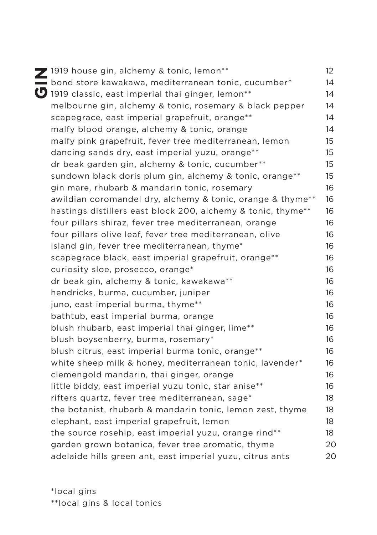| 2 1919 house gin, alchemy & tonic, lemon**                          | 12 |
|---------------------------------------------------------------------|----|
| bond store kawakawa, mediterranean tonic, cucumber*                 | 14 |
| 1919 classic, east imperial thai ginger, lemon**                    | 14 |
| melbourne gin, alchemy & tonic, rosemary & black pepper             | 14 |
| scapegrace, east imperial grapefruit, orange**                      | 14 |
| malfy blood orange, alchemy & tonic, orange                         | 14 |
| malfy pink grapefruit, fever tree mediterranean, lemon              | 15 |
| dancing sands dry, east imperial yuzu, orange**                     | 15 |
| dr beak garden gin, alchemy & tonic, cucumber**                     | 15 |
| sundown black doris plum gin, alchemy & tonic, orange <sup>**</sup> | 15 |
| gin mare, rhubarb & mandarin tonic, rosemary                        | 16 |
| awildian coromandel dry, alchemy & tonic, orange & thyme**          | 16 |
| hastings distillers east block 200, alchemy & tonic, thyme**        | 16 |
| four pillars shiraz, fever tree mediterranean, orange               | 16 |
| four pillars olive leaf, fever tree mediterranean, olive            | 16 |
| island gin, fever tree mediterranean, thyme*                        | 16 |
| scapegrace black, east imperial grapefruit, orange**                | 16 |
| curiosity sloe, prosecco, orange*                                   | 16 |
| dr beak gin, alchemy & tonic, kawakawa**                            | 16 |
| hendricks, burma, cucumber, juniper                                 | 16 |
| juno, east imperial burma, thyme**                                  | 16 |
| bathtub, east imperial burma, orange                                | 16 |
| blush rhubarb, east imperial thai ginger, lime**                    | 16 |
| blush boysenberry, burma, rosemary*                                 | 16 |
| blush citrus, east imperial burma tonic, orange**                   | 16 |
| white sheep milk & honey, mediterranean tonic, lavender*            | 16 |
| clemengold mandarin, thai ginger, orange                            | 16 |
| little biddy, east imperial yuzu tonic, star anise**                | 16 |
| rifters quartz, fever tree mediterranean, sage*                     | 18 |
| the botanist, rhubarb & mandarin tonic, lemon zest, thyme           | 18 |
| elephant, east imperial grapefruit, lemon                           | 18 |
| the source rosehip, east imperial yuzu, orange rind**               | 18 |
| garden grown botanica, fever tree aromatic, thyme                   | 20 |
| adelaide hills green ant, east imperial yuzu, citrus ants           | 20 |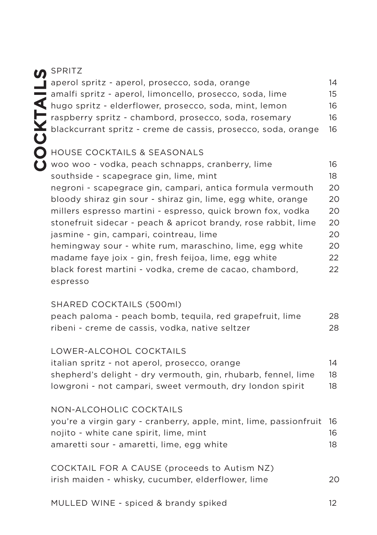## COCKTAILS

## SPRITZ

| aperol spritz - aperol, prosecco, soda, orange                | 14 |
|---------------------------------------------------------------|----|
| amalfi spritz - aperol, limoncello, prosecco, soda, lime      | 15 |
| hugo spritz - elderflower, prosecco, soda, mint, lemon        | 16 |
| raspberry spritz - chambord, prosecco, soda, rosemary         | 16 |
| blackcurrant spritz - creme de cassis, prosecco, soda, orange | 16 |
|                                                               |    |

### HOUSE COCKTAILS & SEASONALS

| woo woo - vodka, peach schnapps, cranberry, lime               | 16 |
|----------------------------------------------------------------|----|
| southside - scapegrace gin, lime, mint                         | 18 |
| negroni - scapegrace gin, campari, antica formula vermouth     | 20 |
| bloody shiraz gin sour - shiraz gin, lime, egg white, orange   | 20 |
| millers espresso martini - espresso, quick brown fox, vodka    | 20 |
| stonefruit sidecar - peach & apricot brandy, rose rabbit, lime | 20 |
| jasmine - gin, campari, cointreau, lime                        | 20 |
| hemingway sour - white rum, maraschino, lime, egg white        | 20 |
| madame faye joix - gin, fresh feijoa, lime, egg white          | 22 |
| black forest martini - vodka, creme de cacao, chambord,        | 22 |
| espresso                                                       |    |

### SHARED COCKTAILS (500ml)

| peach paloma - peach bomb, tequila, red grapefruit, lime | 28 |
|----------------------------------------------------------|----|
| ribeni - creme de cassis, vodka, native seltzer          | 28 |

### LOWER-ALCOHOL COCKTAILS

| italian spritz - not aperol, prosecco, orange                 | 14 |
|---------------------------------------------------------------|----|
| shepherd's delight - dry vermouth, gin, rhubarb, fennel, lime | 18 |
| lowgroni - not campari, sweet vermouth, dry london spirit     | 18 |

### NON-ALCOHOLIC COCKTAILS

| you're a virgin gary - cranberry, apple, mint, lime, passionfruit 16 |     |
|----------------------------------------------------------------------|-----|
| nojito - white cane spirit, lime, mint                               | 16  |
| amaretti sour - amaretti, lime, egg white                            | 18. |

| COCKTAIL FOR A CAUSE (proceeds to Autism NZ)       |    |
|----------------------------------------------------|----|
| irish maiden - whisky, cucumber, elderflower, lime | 20 |

12

MULLED WINE - spiced & brandy spiked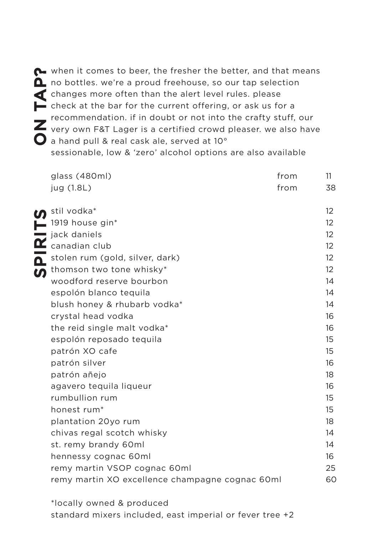The when it comes to beer, the fresher the better, and that means<br>no bottles. we're a proud freehouse, so our tap selection<br>changes more often than the alert level rules. please<br>check at the bar for the current offering, o  $\Delta$  no bottles. we're a proud freehouse, so our tap selection changes more often than the alert level rules. please check at the bar for the current offering, or ask us for a recommendation. if in doubt or not into the crafty stuff, our very own F&T Lager is a certified crowd pleaser. we also have a hand pull & real cask ale, served at 10° sessionable, low & 'zero' alcohol options are also available

|          | glass (480ml)<br>jug (1.8L)                     | from<br>from | 11<br>38          |
|----------|-------------------------------------------------|--------------|-------------------|
|          | stil vodka*                                     |              | $12 \overline{ }$ |
|          | 1919 house gin*                                 |              | $12 \overline{ }$ |
|          | jack daniels                                    |              | 12                |
| $\alpha$ | canadian club                                   |              | $12 \overline{ }$ |
| Δ        | stolen rum (gold, silver, dark)                 |              | $12 \overline{ }$ |
| ທ        | thomson two tone whisky*                        |              | 12                |
|          | woodford reserve bourbon                        |              | 14                |
|          | espolón blanco teguila                          |              | 14                |
|          | blush honey & rhubarb vodka*                    |              | 14                |
|          | crystal head vodka                              |              | 16                |
|          | the reid single malt vodka*                     |              | 16                |
|          | espolón reposado teguila                        |              | 15                |
|          | patrón XO cafe                                  |              | 15                |
|          | patrón silver                                   |              | 16                |
|          | patrón añejo                                    |              | 18                |
|          | agavero teguila liqueur                         |              | 16                |
|          | rumbullion rum                                  |              | 15                |
|          | honest rum*                                     |              | 15                |
|          | plantation 20yo rum                             |              | 18                |
|          | chivas regal scotch whisky                      |              | 14                |
|          | st. remy brandy 60ml                            |              | 14                |
|          | hennessy cognac 60ml                            |              | 16                |
|          | remy martin VSOP cognac 60ml                    |              | 25                |
|          | remy martin XO excellence champagne cognac 60ml |              | 60                |
|          |                                                 |              |                   |

\*locally owned & produced standard mixers included, east imperial or fever tree +2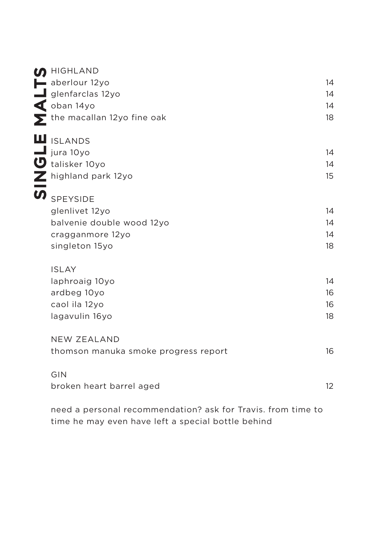| <b>M</b> HIGHLAND                    |    |
|--------------------------------------|----|
| aberlour 12yo                        | 14 |
| $\blacksquare$ glenfarclas 12yo      | 14 |
| $\triangleleft$ oban 14yo            | 14 |
| $\sum$ the macallan 12yo fine oak    | 18 |
| <b>II</b> ISLANDS                    |    |
| $\blacksquare$ jura 10yo             | 14 |
| talisker 10yo                        | 14 |
| highland park 12yo                   | 15 |
| <b>SPEYSIDE</b>                      |    |
| glenlivet 12yo                       | 14 |
| balvenie double wood 12yo            | 14 |
| cragganmore 12yo                     | 14 |
| singleton 15yo                       | 18 |
| <b>ISLAY</b>                         |    |
| laphroaig 10yo                       | 14 |
| ardbeg 10yo                          | 16 |
| caol ila 12yo                        | 16 |
| lagavulin 16yo                       | 18 |
| <b>NEW ZEALAND</b>                   |    |
| thomson manuka smoke progress report | 16 |
| GIN                                  |    |
| broken heart barrel aged             | 12 |
|                                      |    |

need a personal recommendation? ask for Travis. from time to time he may even have left a special bottle behind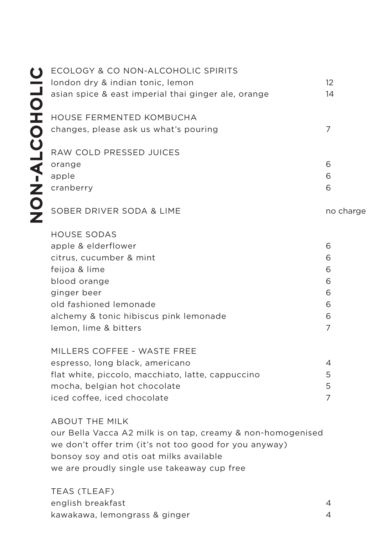|         | ECOLOGY & CO NON-ALCOHOLIC SPIRITS                  |                |  |
|---------|-----------------------------------------------------|----------------|--|
|         | london dry & indian tonic, lemon                    | 12             |  |
|         | asian spice & east imperial thai ginger ale, orange | 14             |  |
|         | HOUSE FERMENTED KOMBUCHA                            |                |  |
| $-ALCO$ | changes, please ask us what's pouring               | $\overline{7}$ |  |
|         | RAW COLD PRESSED JUICES                             |                |  |
|         | orange                                              | 6              |  |
|         | apple                                               | 6              |  |
| Ż<br>O  | cranberry                                           | 6              |  |
|         | SOBER DRIVER SODA & LIME                            | no charge      |  |
|         | <b>HOUSE SODAS</b>                                  |                |  |
|         | apple & elderflower                                 | 6              |  |
|         | citrus, cucumber & mint                             | 6              |  |
|         | feijoa & lime                                       | 6              |  |
|         | blood orange                                        | 6              |  |
|         | ginger beer                                         | 6              |  |
|         | old fashioned lemonade                              | 6              |  |
|         | alchemy & tonic hibiscus pink lemonade              | 6              |  |
|         | lemon, lime & bitters                               | $\overline{7}$ |  |
|         | MILLERS COFFEE - WASTE FREE                         |                |  |
|         | espresso, long black, americano                     | 4              |  |
|         | flat white, piccolo, macchiato, latte, cappuccino   | 5              |  |

mocha, belgian hot chocolate iced coffee, iced chocolate 5 7

### ABOUT THE MILK

our Bella Vacca A2 milk is on tap, creamy & non-homogenised we don't offer trim (it's not too good for you anyway) bonsoy soy and otis oat milks available we are proudly single use takeaway cup free

TEAS (TLEAF) english breakfast kawakawa, lemongrass & ginger